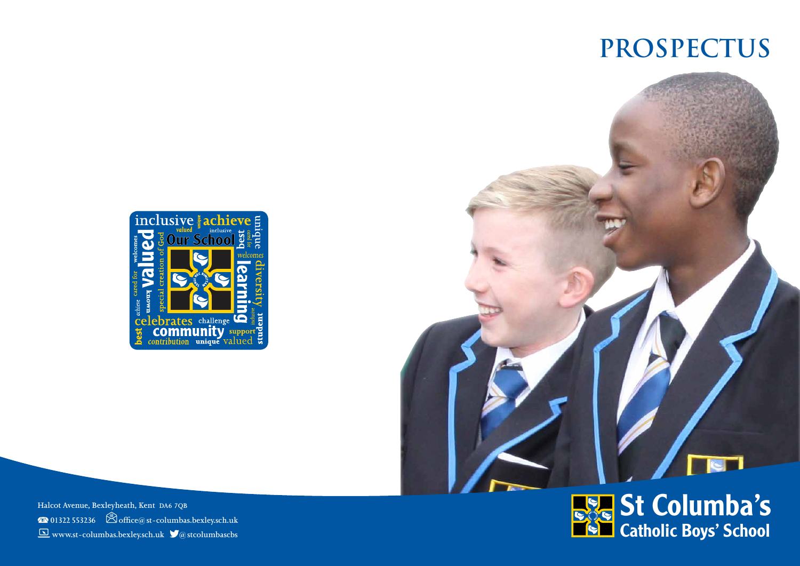# **ProspectuS**





**Halcot Avenue, Bexleyheath, Kent DA6 7QB 01322 553236****office@st-columbas.bexley.sch.uk www.st-columbas.bexley.sch.uk****@stcolumbascbs**

# St Columba's Catholic Boys' School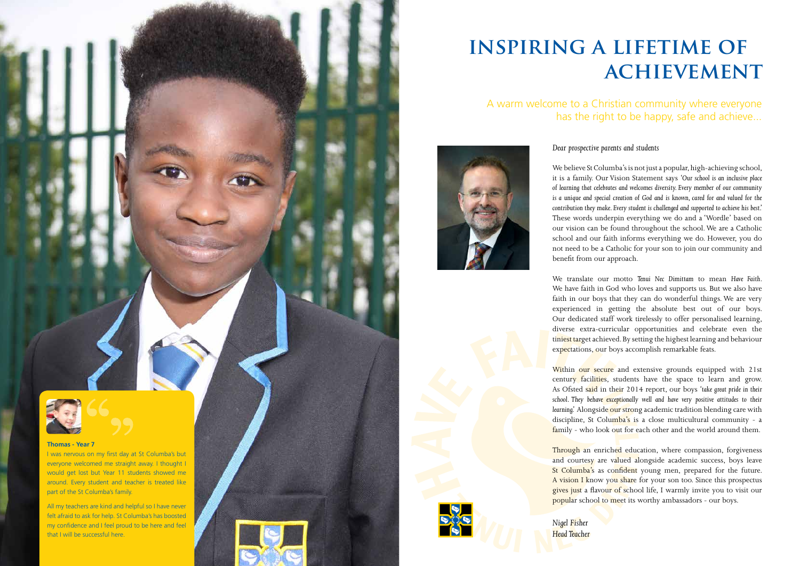## A warm welcome to a Christian community where everyone has the right to be happy, safe and achieve...



## **inspiring a lifetime of achievement**

### *Dear prospective parents and students*

We believe St Columba's is not just a popular, high-achieving school, it is a family. Our Vision Statement says *'Our school is an inclusive place of learning that celebrates and welcomes diversity. Every member of our community is a unique and special creation of God and is known, cared for and valued for the contribution they make. Every student is challenged and supported to achieve his best.'* These words underpin everything we do and a 'Wordle' based on our vision can be found throughout the school. We are a Catholic school and our faith informs everything we do. However, you do not need to be a Catholic for your son to join our community and benefit from our approach.

We translate our motto *Tenui Nec Dimittam* to mean *Have Faith*. We have faith in God who loves and supports us. But we also have faith in our boys that they can do wonderful things. We are very experienced in getting the absolute best out of our boys. Our dedicated staff work tirelessly to offer personalised learning, diverse extra-curricular opportunities and celebrate even the tiniest target achieved. By setting the highest learning and behaviour expectations, our boys accomplish remarkable feats.

Within our secure and extensive grounds equipped with 21st century facilities, students have the space to learn and grow. As Ofsted said in their 2014 report, our boys *'take great pride in their*  school. They behave *exceptionally well and have very positive attitudes to their* learning.' Alongside our strong academic tradition blending care with discipline, St Columba's is a close multicultural community - a family - who look out for each other and the world around them.

Through an enriched education, where compassion, forgiveness and courtesy are valued alongside academic success, boys leave St Columba's as confident young men, prepared for the future. A vision I know you share for your son too. Since this prospectus gives just a flavour of school life, I warmly invite you to visit our popular school to meet its worthy ambassadors - our boys.

*Nigel Fisher Head Teacher*





### **Thomas - Year 7**

I was nervous on my first day at St Columba's but everyone welcomed me straight away. I thought I would get lost but Year 11 students showed me around. Every student and teacher is treated like part of the St Columba's family.

All my teachers are kind and helpful so I have never felt afraid to ask for help. St Columba's has boosted my confidence and I feel proud to be here and feel that I will be successful here.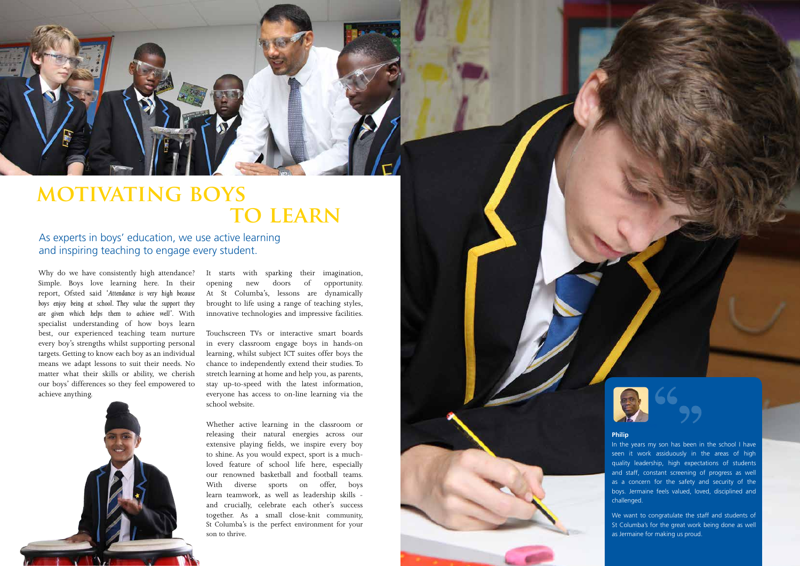Why do we have consistently high attendance? Simple. Boys love learning here. In their report, Ofsted said *'Attendance is very high because boys enjoy being at school. They value the support they are given which helps them to achieve well'*. With specialist understanding of how boys learn best, our experienced teaching team nurture every boy's strengths whilst supporting personal targets. Getting to know each boy as an individual means we adapt lessons to suit their needs. No matter what their skills or ability, we cherish our boys' differences so they feel empowered to achieve anything.



It starts with sparking their imagination, opening new doors of opportunity. At St Columba's, lessons are dynamically brought to life using a range of teaching styles, innovative technologies and impressive facilities.



## **motivating boys TO LEARN**

Touchscreen TVs or interactive smart boards in every classroom engage boys in hands-on learning, whilst subject ICT suites offer boys the chance to independently extend their studies. To stretch learning at home and help you, as parents, stay up-to-speed with the latest information, everyone has access to on-line learning via the school website.

Whether active learning in the classroom or releasing their natural energies across our extensive playing fields, we inspire every boy to shine. As you would expect, sport is a muchloved feature of school life here, especially our renowned basketball and football teams. With diverse sports on offer, boys learn teamwork, as well as leadership skills and crucially, celebrate each other's success together. As a small close-knit community, St Columba's is the perfect environment for your son to thrive.





As experts in boys' education, we use active learning and inspiring teaching to engage every student.

### **Philip**

In the years my son has been in the school I have seen it work assiduously in the areas of high quality leadership, high expectations of students and staff, constant screening of progress as well as a concern for the safety and security of the boys. Jermaine feels valued, loved, disciplined and challenged.

We want to congratulate the staff and students of St Columba's for the great work being done as well as Jermaine for making us proud.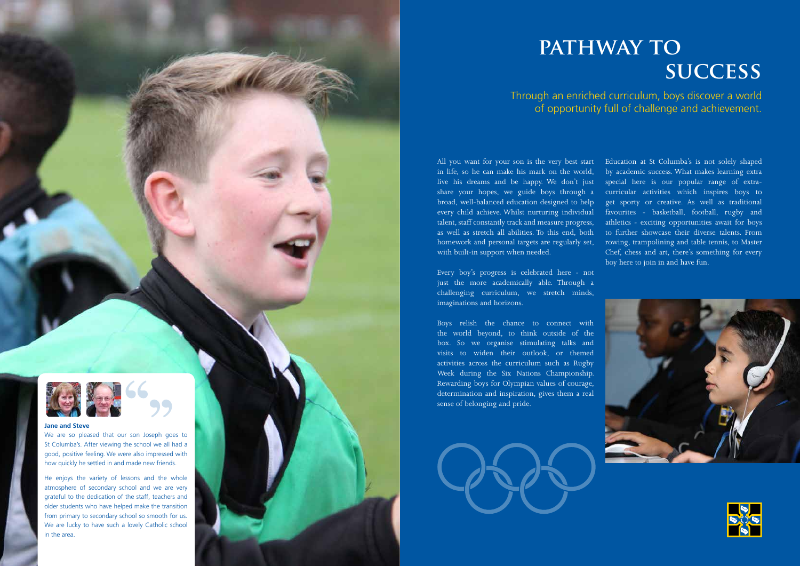Through an enriched curriculum, boys discover a world of opportunity full of challenge and achievement.

## **pathway TO success**

All you want for your son is the very best start in life, so he can make his mark on the world, live his dreams and be happy. We don't just share your hopes, we guide boys through a broad, well-balanced education designed to help every child achieve. Whilst nurturing individual talent, staff constantly track and measure progress, as well as stretch all abilities. To this end, both homework and personal targets are regularly set, with built-in support when needed.

Every boy's progress is celebrated here - not just the more academically able. Through a challenging curriculum, we stretch minds, imaginations and horizons.

Boys relish the chance to connect with the world beyond, to think outside of the box. So we organise stimulating talks and visits to widen their outlook, or themed activities across the curriculum such as Rugby Week during the Six Nations Championship. Rewarding boys for Olympian values of courage, determination and inspiration, gives them a real sense of belonging and pride.





Education at St Columba's is not solely shaped by academic success. What makes learning extra special here is our popular range of extracurricular activities which inspires boys to get sporty or creative. As well as traditional favourites - basketball, football, rugby and athletics - exciting opportunities await for boys to further showcase their diverse talents. From rowing, trampolining and table tennis, to Master Chef, chess and art, there's something for every boy here to join in and have fun.





### **Jane and Steve**

We are so pleased that our son Joseph goes to St Columba's. After viewing the school we all had a good, positive feeling. We were also impressed with how quickly he settled in and made new friends.

He enjoys the variety of lessons and the whole atmosphere of secondary school and we are very grateful to the dedication of the staff, teachers and older students who have helped make the transition from primary to secondary school so smooth for us. We are lucky to have such a lovely Catholic school in the area.

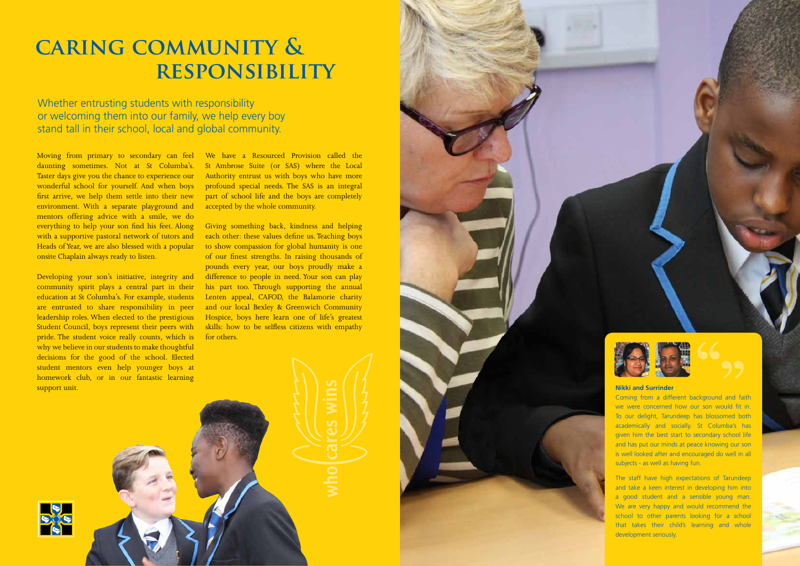Moving from primary to secondary can feel daunting sometimes. Not at St Columba's. Taster days give you the chance to experience our wonderful school for yourself. And when boys first arrive, we help them settle into their new environment. With a separate playground and mentors offering advice with a smile, we do everything to help your son find his feet. Along with a supportive pastoral network of tutors and Heads of Year, we are also blessed with a popular onsite Chaplain always ready to listen.

Developing your son's initiative, integrity and community spirit plays a central part in their education at St Columba's. For example, students are entrusted to share responsibility in peer leadership roles. When elected to the prestigious Student Council, boys represent their peers with pride. The student voice really counts, which is why we believe in our students to make thoughtful decisions for the good of the school. Elected student mentors even help younger boys at homework club, or in our fantastic learning support unit.

We have a Resourced Provision called the St Ambrose Suite (or SAS) where the Local Authority entrust us with boys who have more profound special needs. The SAS is an integral part of school life and the boys are completely accepted by the whole community.

Giving something back, kindness and helping each other: these values define us. Teaching boys to show compassion for global humanity is one of our finest strengths. In raising thousands of pounds every year, our boys proudly make a difference to people in need. Your son can play his part too. Through supporting the annual Lenten appeal, CAFOD, the Balamorie charity and our local Bexley & Greenwich Community Hospice, boys here learn one of life's greatest skills: how to be selfless citizens with empathy for others.





Whether entrusting students with responsibility or welcoming them into our family, we help every boy stand tall in their school, local and global community.

## **caring community & responsibility**

### **Nikki and Surrinder**

Coming from a different background and faith we were concerned how our son would fit in. To our delight, Tarundeep has blossomed both academically and socially. St Columba's has given him the best start to secondary school life and has put our minds at peace knowing our son is well looked after and encouraged do well in all subjects - as well as having fun.

The staff have high expectations of Tarundeep and take a keen interest in developing him into a good student and a sensible young man. We are very happy and would recommend the school to other parents looking for a school that takes their child's learning and whole development seriously.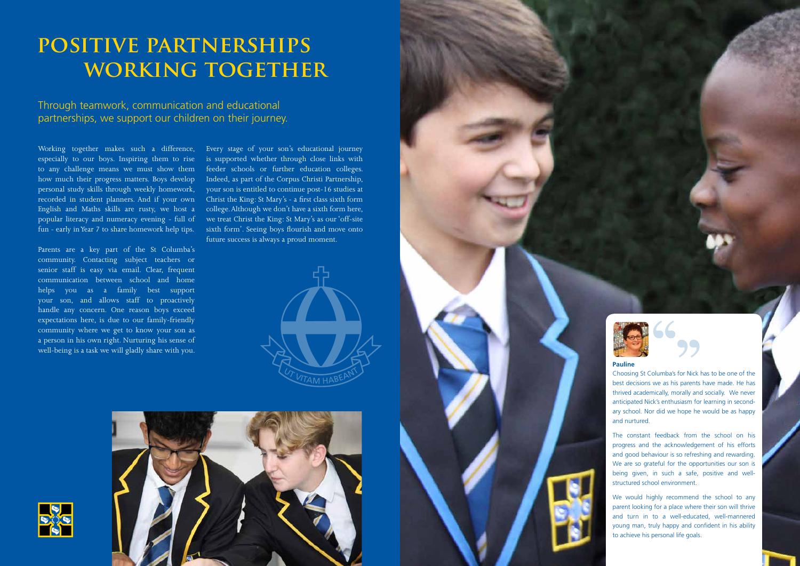## POSITIVE PARTNERSHIPS  **working together**

Through teamwork, communication and educational partnerships, we support our children on their journey.

Working together makes such a difference, especially to our boys. Inspiring them to rise to any challenge means we must show them how much their progress matters. Boys develop personal study skills through weekly homework, recorded in student planners. And if your own English and Maths skills are rusty, we host a popular literacy and numeracy evening - full of fun - early in Year 7 to share homework help tips.

Parents are a key part of the St Columba's community. Contacting subject teachers or senior staff is easy via email. Clear, frequent communication between school and home helps you as a family best support your son, and allows staff to proactively handle any concern. One reason boys exceed expectations here, is due to our family-friendly community where we get to know your son as a person in his own right. Nurturing his sense of well-being is a task we will gladly share with you.

> We would highly recommend the school to any parent looking for a place where their son will thrive and turn in to a well-educated, well-mannered young man, truly happy and confident in his ability to achieve his personal life goals.



Every stage of your son's educational journey is supported whether through close links with feeder schools or further education colleges. Indeed, as part of the Corpus Christi Partnership, your son is entitled to continue post-16 studies at Christ the King: St Mary's - a first class sixth form college. Although we don't have a sixth form here, we treat Christ the King: St Mary's as our 'off-site sixth form'. Seeing boys flourish and move onto future success is always a proud moment.











### **Pauline**

Choosing St Columba's for Nick has to be one of the best decisions we as his parents have made. He has thrived academically, morally and socially. We never anticipated Nick's enthusiasm for learning in secondary school. Nor did we hope he would be as happy and nurtured.

The constant feedback from the school on his progress and the acknowledgement of his efforts and good behaviour is so refreshing and rewarding. We are so grateful for the opportunities our son is being given, in such a safe, positive and wellstructured school environment.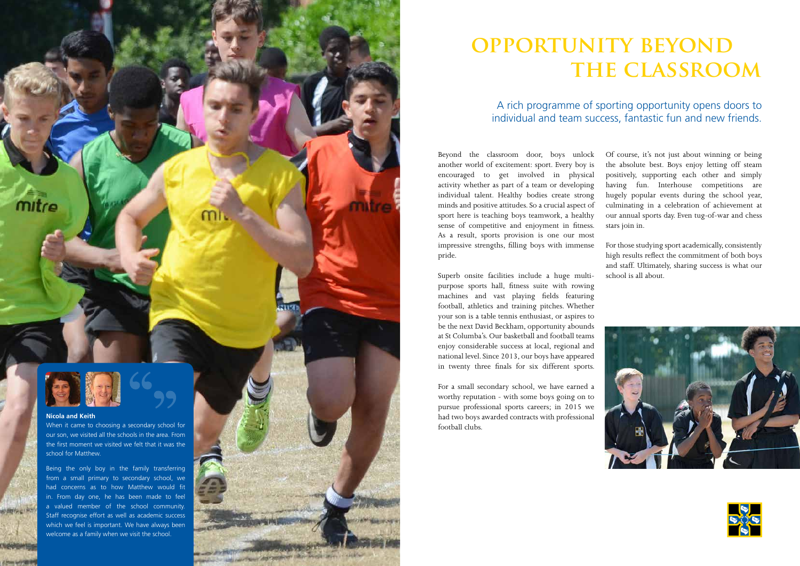## **opportunity beyond the classroom**

Superb onsite facilities include a huge multipurpose sports hall, fitness suite with rowing machines and vast playing fields featuring football, athletics and training pitches. Whether your son is a table tennis enthusiast, or aspires to be the next David Beckham, opportunity abounds at St Columba's. Our basketball and football teams enjoy considerable success at local, regional and national level. Since 2013, our boys have appeared in twenty three finals for six different sports.

Beyond the classroom door, boys unlock another world of excitement: sport. Every boy is encouraged to get involved in physical activity whether as part of a team or developing individual talent. Healthy bodies create strong minds and positive attitudes. So a crucial aspect of sport here is teaching boys teamwork, a healthy sense of competitive and enjoyment in fitness. As a result, sports provision is one our most impressive strengths, filling boys with immense pride. Of course, it's not just about winning or being the absolute best. Boys enjoy letting off steam positively, supporting each other and simply having fun. Interhouse competitions are hugely popular events during the school year, culminating in a celebration of achievement at our annual sports day. Even tug-of-war and chess stars join in. For those studying sport academically, consistently high results reflect the commitment of both boys

For a small secondary school, we have earned a worthy reputation - with some boys going on to pursue professional sports careers; in 2015 we had two boys awarded contracts with professional football clubs.

and staff. Ultimately, sharing success is what our school is all about.





## A rich programme of sporting opportunity opens doors to individual and team success, fantastic fun and new friends.